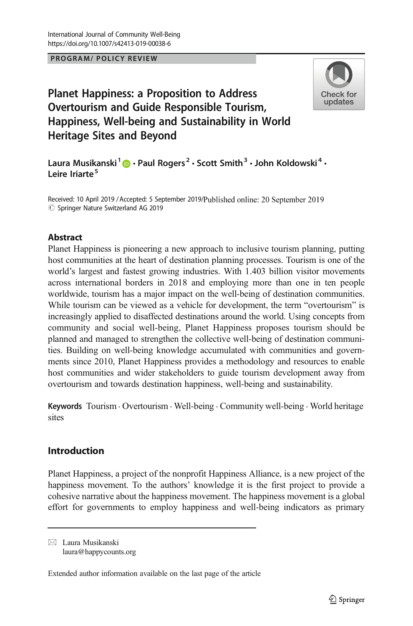PROGRAM/ POLICY REVIEW



## Planet Happiness: a Proposition to Address Overtourism and Guide Responsible Tourism, Happiness, Well-being and Sustainability in World Heritage Sites and Beyond

Laura Musikanski $1\bigcirc \cdot$  Paul Rogers<sup>2</sup>  $\cdot$  Scott Smith<sup>3</sup>  $\cdot$  John Koldowski<sup>4</sup>  $\cdot$ Leire Iriarte<sup>5</sup>

Received: 10 April 2019 / Accepted: 5 September 2019/Published online: 20 September 2019  $\circledcirc$  Springer Nature Switzerland AG 2019

## Abstract

Planet Happiness is pioneering a new approach to inclusive tourism planning, putting host communities at the heart of destination planning processes. Tourism is one of the world's largest and fastest growing industries. With 1.403 billion visitor movements across international borders in 2018 and employing more than one in ten people worldwide, tourism has a major impact on the well-being of destination communities. While tourism can be viewed as a vehicle for development, the term "overtourism" is increasingly applied to disaffected destinations around the world. Using concepts from community and social well-being, Planet Happiness proposes tourism should be planned and managed to strengthen the collective well-being of destination communities. Building on well-being knowledge accumulated with communities and governments since 2010, Planet Happiness provides a methodology and resources to enable host communities and wider stakeholders to guide tourism development away from overtourism and towards destination happiness, well-being and sustainability.

Keywords Tourism . Overtourism . Well-being . Community well-being . World heritage sites

## Introduction

Planet Happiness, a project of the nonprofit Happiness Alliance, is a new project of the happiness movement. To the authors' knowledge it is the first project to provide a cohesive narrative about the happiness movement. The happiness movement is a global effort for governments to employ happiness and well-being indicators as primary

 $\boxtimes$  Laura Musikanski [laura@happycounts.org](mailto:laura@happycounts.org)

Extended author information available on the last page of the article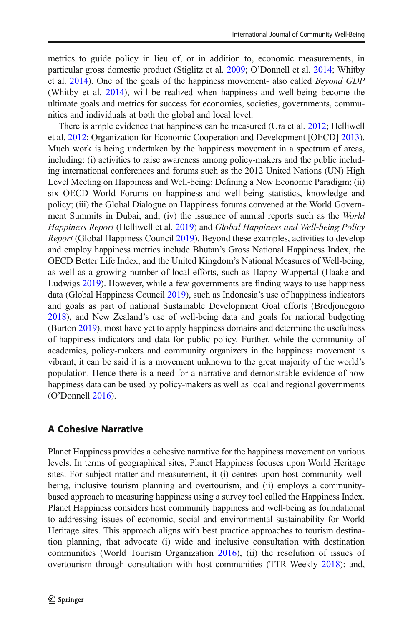metrics to guide policy in lieu of, or in addition to, economic measurements, in particular gross domestic product (Stiglitz et al. [2009;](#page-11-0) O'Donnell et al. [2014](#page-11-0); Whitby et al. [2014\)](#page-12-0). One of the goals of the happiness movement- also called Beyond GDP (Whitby et al. [2014](#page-12-0)), will be realized when happiness and well-being become the ultimate goals and metrics for success for economies, societies, governments, communities and individuals at both the global and local level.

There is ample evidence that happiness can be measured (Ura et al. [2012](#page-12-0); Helliwell et al. [2012;](#page-11-0) Organization for Economic Cooperation and Development [OECD] [2013\)](#page-11-0). Much work is being undertaken by the happiness movement in a spectrum of areas, including: (i) activities to raise awareness among policy-makers and the public including international conferences and forums such as the 2012 United Nations (UN) High Level Meeting on Happiness and Well-being: Defining a New Economic Paradigm; (ii) six OECD World Forums on happiness and well-being statistics, knowledge and policy; (iii) the Global Dialogue on Happiness forums convened at the World Government Summits in Dubai; and, (iv) the issuance of annual reports such as the World Happiness Report (Helliwell et al. [2019](#page-11-0)) and Global Happiness and Well-being Policy Report (Global Happiness Council [2019\)](#page-11-0). Beyond these examples, activities to develop and employ happiness metrics include Bhutan's Gross National Happiness Index, the OECD Better Life Index, and the United Kingdom's National Measures of Well-being, as well as a growing number of local efforts, such as Happy Wuppertal (Haake and Ludwigs [2019](#page-11-0)). However, while a few governments are finding ways to use happiness data (Global Happiness Council [2019\)](#page-11-0), such as Indonesia's use of happiness indicators and goals as part of national Sustainable Development Goal efforts (Brodjonegoro [2018\)](#page-10-0), and New Zealand's use of well-being data and goals for national budgeting (Burton [2019](#page-11-0)), most have yet to apply happiness domains and determine the usefulness of happiness indicators and data for public policy. Further, while the community of academics, policy-makers and community organizers in the happiness movement is vibrant, it can be said it is a movement unknown to the great majority of the world's population. Hence there is a need for a narrative and demonstrable evidence of how happiness data can be used by policy-makers as well as local and regional governments (O'Donnell [2016](#page-11-0)).

## A Cohesive Narrative

Planet Happiness provides a cohesive narrative for the happiness movement on various levels. In terms of geographical sites, Planet Happiness focuses upon World Heritage sites. For subject matter and measurement, it (i) centres upon host community wellbeing, inclusive tourism planning and overtourism, and (ii) employs a communitybased approach to measuring happiness using a survey tool called the Happiness Index. Planet Happiness considers host community happiness and well-being as foundational to addressing issues of economic, social and environmental sustainability for World Heritage sites. This approach aligns with best practice approaches to tourism destination planning, that advocate (i) wide and inclusive consultation with destination communities (World Tourism Organization [2016\)](#page-12-0), (ii) the resolution of issues of overtourism through consultation with host communities (TTR Weekly [2018\)](#page-12-0); and,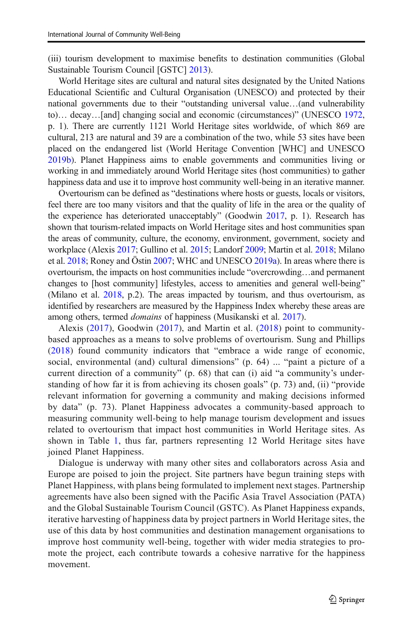(iii) tourism development to maximise benefits to destination communities (Global Sustainable Tourism Council [GSTC] [2013](#page-11-0)).

World Heritage sites are cultural and natural sites designated by the United Nations Educational Scientific and Cultural Organisation (UNESCO) and protected by their national governments due to their "outstanding universal value…(and vulnerability to)… decay…[and] changing social and economic (circumstances)" (UNESCO [1972,](#page-12-0) p. 1). There are currently 1121 World Heritage sites worldwide, of which 869 are cultural, 213 are natural and 39 are a combination of the two, while 53 sites have been placed on the endangered list (World Heritage Convention [WHC] and UNESCO [2019b\)](#page-12-0). Planet Happiness aims to enable governments and communities living or working in and immediately around World Heritage sites (host communities) to gather happiness data and use it to improve host community well-being in an iterative manner.

Overtourism can be defined as "destinations where hosts or guests, locals or visitors, feel there are too many visitors and that the quality of life in the area or the quality of the experience has deteriorated unacceptably" (Goodwin [2017,](#page-11-0) p. 1). Research has shown that tourism-related impacts on World Heritage sites and host communities span the areas of community, culture, the economy, environment, government, society and workplace (Alexis [2017](#page-10-0); Gullino et al. [2015](#page-11-0); Landorf [2009;](#page-11-0) Martin et al. [2018](#page-11-0); Milano et al. [2018](#page-11-0); Roney and Östin [2007;](#page-11-0) WHC and UNESCO [2019a\)](#page-12-0). In areas where there is overtourism, the impacts on host communities include "overcrowding…and permanent changes to [host community] lifestyles, access to amenities and general well-being" (Milano et al. [2018,](#page-11-0) p.2). The areas impacted by tourism, and thus overtourism, as identified by researchers are measured by the Happiness Index whereby these areas are among others, termed domains of happiness (Musikanski et al. [2017](#page-11-0)).

Alexis ([2017\)](#page-10-0), Goodwin ([2017](#page-11-0)), and Martin et al. ([2018\)](#page-11-0) point to communitybased approaches as a means to solve problems of overtourism. Sung and Phillips [\(2018\)](#page-11-0) found community indicators that "embrace a wide range of economic, social, environmental (and) cultural dimensions" (p. 64) ... "paint a picture of a current direction of a community" (p. 68) that can (i) aid "a community's understanding of how far it is from achieving its chosen goals" (p. 73) and, (ii) "provide relevant information for governing a community and making decisions informed by data" (p. 73). Planet Happiness advocates a community-based approach to measuring community well-being to help manage tourism development and issues related to overtourism that impact host communities in World Heritage sites. As shown in Table [1](#page-3-0), thus far, partners representing 12 World Heritage sites have joined Planet Happiness.

Dialogue is underway with many other sites and collaborators across Asia and Europe are poised to join the project. Site partners have begun training steps with Planet Happiness, with plans being formulated to implement next stages. Partnership agreements have also been signed with the Pacific Asia Travel Association (PATA) and the Global Sustainable Tourism Council (GSTC). As Planet Happiness expands, iterative harvesting of happiness data by project partners in World Heritage sites, the use of this data by host communities and destination management organisations to improve host community well-being, together with wider media strategies to promote the project, each contribute towards a cohesive narrative for the happiness movement.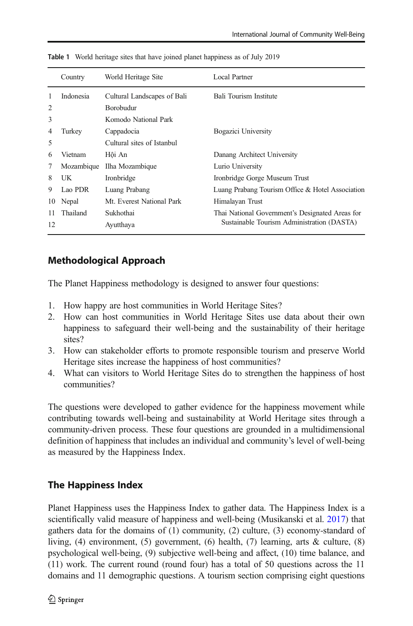|    | Country    | World Heritage Site         | Local Partner                                                                                 |  |
|----|------------|-----------------------------|-----------------------------------------------------------------------------------------------|--|
| 1  | Indonesia  | Cultural Landscapes of Bali | Bali Tourism Institute                                                                        |  |
| 2  |            | Borobudur                   |                                                                                               |  |
| 3  |            | Komodo National Park        |                                                                                               |  |
| 4  | Turkey     | Cappadocia                  | Bogazici University                                                                           |  |
| 5  |            | Cultural sites of Istanbul  |                                                                                               |  |
| 6  | Vietnam    | Hôi An                      | Danang Architect University                                                                   |  |
| 7  | Mozambique | Ilha Mozambique             | Lurio University                                                                              |  |
| 8  | UK         | Ironbridge                  | Ironbridge Gorge Museum Trust                                                                 |  |
| 9  | Lao PDR    | Luang Prabang               | Luang Prabang Tourism Office & Hotel Association                                              |  |
| 10 | Nepal      | Mt. Everest National Park   | Himalayan Trust                                                                               |  |
| 11 | Thailand   | Sukhothai                   | Thai National Government's Designated Areas for<br>Sustainable Tourism Administration (DASTA) |  |
| 12 |            | Ayutthaya                   |                                                                                               |  |

<span id="page-3-0"></span>Table 1 World heritage sites that have joined planet happiness as of July 2019

## Methodological Approach

The Planet Happiness methodology is designed to answer four questions:

- 1. How happy are host communities in World Heritage Sites?
- 2. How can host communities in World Heritage Sites use data about their own happiness to safeguard their well-being and the sustainability of their heritage sites?
- 3. How can stakeholder efforts to promote responsible tourism and preserve World Heritage sites increase the happiness of host communities?
- 4. What can visitors to World Heritage Sites do to strengthen the happiness of host communities?

The questions were developed to gather evidence for the happiness movement while contributing towards well-being and sustainability at World Heritage sites through a community-driven process. These four questions are grounded in a multidimensional definition of happiness that includes an individual and community's level of well-being as measured by the Happiness Index.

## The Happiness Index

Planet Happiness uses the Happiness Index to gather data. The Happiness Index is a scientifically valid measure of happiness and well-being (Musikanski et al. [2017\)](#page-11-0) that gathers data for the domains of (1) community, (2) culture, (3) economy-standard of living, (4) environment, (5) government, (6) health, (7) learning, arts & culture, (8) psychological well-being, (9) subjective well-being and affect, (10) time balance, and (11) work. The current round (round four) has a total of 50 questions across the 11 domains and 11 demographic questions. A tourism section comprising eight questions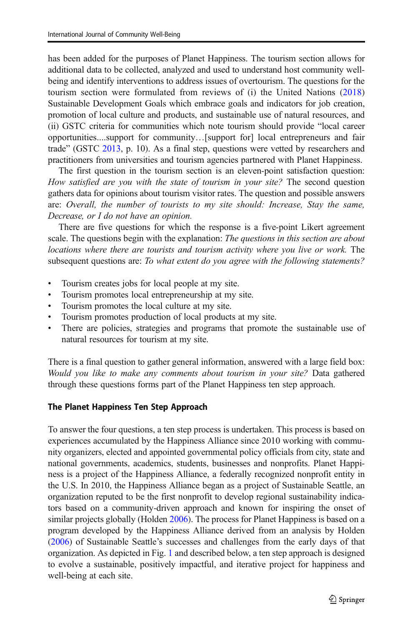has been added for the purposes of Planet Happiness. The tourism section allows for additional data to be collected, analyzed and used to understand host community wellbeing and identify interventions to address issues of overtourism. The questions for the tourism section were formulated from reviews of (i) the United Nations ([2018](#page-12-0)) Sustainable Development Goals which embrace goals and indicators for job creation, promotion of local culture and products, and sustainable use of natural resources, and (ii) GSTC criteria for communities which note tourism should provide "local career opportunities....support for community…[support for] local entrepreneurs and fair trade" (GSTC [2013,](#page-11-0) p. 10). As a final step, questions were vetted by researchers and practitioners from universities and tourism agencies partnered with Planet Happiness.

The first question in the tourism section is an eleven-point satisfaction question: How satisfied are you with the state of tourism in your site? The second question gathers data for opinions about tourism visitor rates. The question and possible answers are: Overall, the number of tourists to my site should: Increase, Stay the same, Decrease, or I do not have an opinion.

There are five questions for which the response is a five-point Likert agreement scale. The questions begin with the explanation: *The questions in this section are about* locations where there are tourists and tourism activity where you live or work. The subsequent questions are: To what extent do you agree with the following statements?

- Tourism creates jobs for local people at my site.
- & Tourism promotes local entrepreneurship at my site.
- & Tourism promotes the local culture at my site.
- Tourism promotes production of local products at my site.
- There are policies, strategies and programs that promote the sustainable use of natural resources for tourism at my site.

There is a final question to gather general information, answered with a large field box: Would you like to make any comments about tourism in your site? Data gathered through these questions forms part of the Planet Happiness ten step approach.

#### The Planet Happiness Ten Step Approach

To answer the four questions, a ten step process is undertaken. This process is based on experiences accumulated by the Happiness Alliance since 2010 working with community organizers, elected and appointed governmental policy officials from city, state and national governments, academics, students, businesses and nonprofits. Planet Happiness is a project of the Happiness Alliance, a federally recognized nonprofit entity in the U.S. In 2010, the Happiness Alliance began as a project of Sustainable Seattle, an organization reputed to be the first nonprofit to develop regional sustainability indicators based on a community-driven approach and known for inspiring the onset of similar projects globally (Holden [2006](#page-11-0)). The process for Planet Happiness is based on a program developed by the Happiness Alliance derived from an analysis by Holden [\(2006\)](#page-11-0) of Sustainable Seattle's successes and challenges from the early days of that organization. As depicted in Fig. [1](#page-5-0) and described below, a ten step approach is designed to evolve a sustainable, positively impactful, and iterative project for happiness and well-being at each site.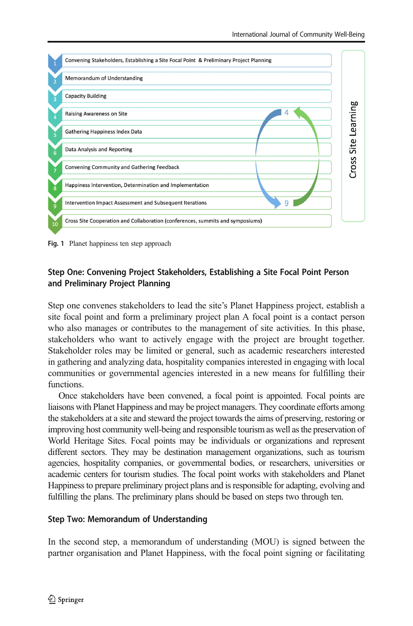<span id="page-5-0"></span>

Fig. 1 Planet happiness ten step approach

## Step One: Convening Project Stakeholders, Establishing a Site Focal Point Person and Preliminary Project Planning

Step one convenes stakeholders to lead the site's Planet Happiness project, establish a site focal point and form a preliminary project plan A focal point is a contact person who also manages or contributes to the management of site activities. In this phase, stakeholders who want to actively engage with the project are brought together. Stakeholder roles may be limited or general, such as academic researchers interested in gathering and analyzing data, hospitality companies interested in engaging with local communities or governmental agencies interested in a new means for fulfilling their functions.

Once stakeholders have been convened, a focal point is appointed. Focal points are liaisons with Planet Happiness and may be project managers. They coordinate efforts among the stakeholders at a site and steward the project towards the aims of preserving, restoring or improving host community well-being and responsible tourism as well as the preservation of World Heritage Sites. Focal points may be individuals or organizations and represent different sectors. They may be destination management organizations, such as tourism agencies, hospitality companies, or governmental bodies, or researchers, universities or academic centers for tourism studies. The focal point works with stakeholders and Planet Happiness to prepare preliminary project plans and is responsible for adapting, evolving and fulfilling the plans. The preliminary plans should be based on steps two through ten.

#### Step Two: Memorandum of Understanding

In the second step, a memorandum of understanding (MOU) is signed between the partner organisation and Planet Happiness, with the focal point signing or facilitating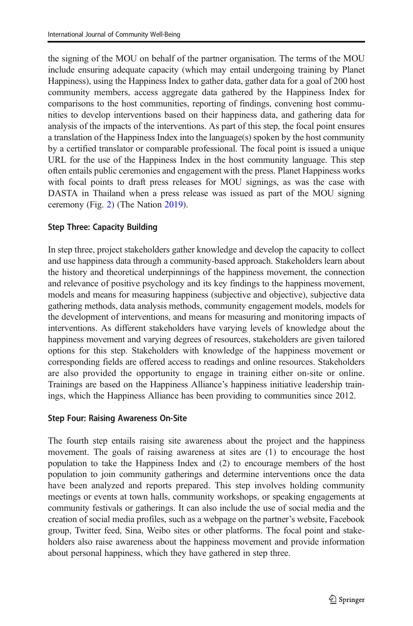the signing of the MOU on behalf of the partner organisation. The terms of the MOU include ensuring adequate capacity (which may entail undergoing training by Planet Happiness), using the Happiness Index to gather data, gather data for a goal of 200 host community members, access aggregate data gathered by the Happiness Index for comparisons to the host communities, reporting of findings, convening host communities to develop interventions based on their happiness data, and gathering data for analysis of the impacts of the interventions. As part of this step, the focal point ensures a translation of the Happiness Index into the language(s) spoken by the host community by a certified translator or comparable professional. The focal point is issued a unique URL for the use of the Happiness Index in the host community language. This step often entails public ceremonies and engagement with the press. Planet Happiness works with focal points to draft press releases for MOU signings, as was the case with DASTA in Thailand when a press release was issued as part of the MOU signing ceremony (Fig. [2](#page-7-0)) (The Nation [2019\)](#page-12-0).

## Step Three: Capacity Building

In step three, project stakeholders gather knowledge and develop the capacity to collect and use happiness data through a community-based approach. Stakeholders learn about the history and theoretical underpinnings of the happiness movement, the connection and relevance of positive psychology and its key findings to the happiness movement, models and means for measuring happiness (subjective and objective), subjective data gathering methods, data analysis methods, community engagement models, models for the development of interventions, and means for measuring and monitoring impacts of interventions. As different stakeholders have varying levels of knowledge about the happiness movement and varying degrees of resources, stakeholders are given tailored options for this step. Stakeholders with knowledge of the happiness movement or corresponding fields are offered access to readings and online resources. Stakeholders are also provided the opportunity to engage in training either on-site or online. Trainings are based on the Happiness Alliance's happiness initiative leadership trainings, which the Happiness Alliance has been providing to communities since 2012.

## Step Four: Raising Awareness On-Site

The fourth step entails raising site awareness about the project and the happiness movement. The goals of raising awareness at sites are (1) to encourage the host population to take the Happiness Index and (2) to encourage members of the host population to join community gatherings and determine interventions once the data have been analyzed and reports prepared. This step involves holding community meetings or events at town halls, community workshops, or speaking engagements at community festivals or gatherings. It can also include the use of social media and the creation of social media profiles, such as a webpage on the partner's website, Facebook group, Twitter feed, Sina, Weibo sites or other platforms. The focal point and stakeholders also raise awareness about the happiness movement and provide information about personal happiness, which they have gathered in step three.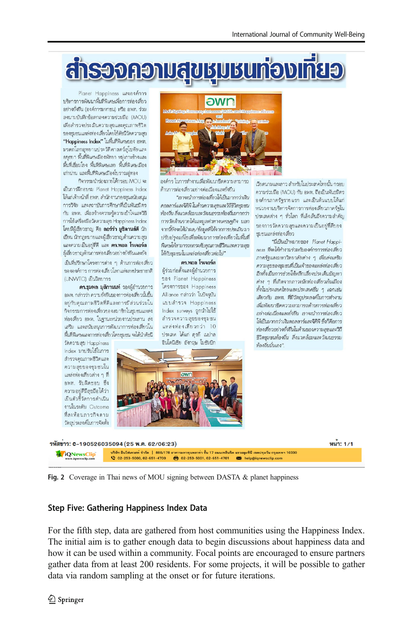# <span id="page-7-0"></span>วจกอามสบชมชนทอง

Planet Happiness และองค์การ าเริ่หารการพัฒนาพื้นที่พิเศษเพื่อการท่องเที่ยว อย่างยั่งยืน (องค์การมหาชน) หรือ อพท. ร่วม ลงนามบันทึกข้อตกลงความร่วมมือ (MOU) เพื่อสำรวจประเมินความสบและคณภาพชีวิต ของชุมชนแหล่งท่องเที่ยวโดยใช้ดัชนีวัดความสุข "Happiness Index" ในพื้นที่พิเศษของ อพท. มรดกโลกอทยานประวัติศาสตร์สโขทัยและ อยธยา พื้นที่พิเศษเมืองพัทยา หมู่เกาะช้างและ พื้นที่เชื่อมโยง พื้นที่พิเศษเลย พื้นที่พิเศษเมือง เก่าน่าน และพื้นที่พิเศษมีองโบราณอ่ทอง

กิจกรรมนำร่องภายใต้กรอบ MOU จะ เป็นการฝึกคบรม Planet Happiness Index ให้แก่เจ้าหน้าที่ อพท. สำนักงานกองพบสนับสนน การวิจัย และสถาบันการศึกษาที่เป็นพันธมิตร กับ อพท. เพื่อสร้างความรัความเข้าใจและวิธี การใช้เครื่องมือวัดความสุข Happiness Index โดยมีผู้เชี่ยวชาญ คือ **ลอร์ร่า มูชิคานส์ดี** นัก เขียน นักกฎหมายและผู้เชี่ยวชาญด้านความสบ และความเป็นอยู่ที่ดี และ ดร.พอล โรเจอร์ส ผู้เชี่ยวชาญด้านการท่องเที่ยวอย่างยั่งยืนและกัง เป็นที่ปรึกษาโครงการต่าง ๆ ด้านการท่องเที่ยว ้ขององค์การ การท่องเที่ยวโลกแห่งสหประชาชาติ (UNWTO) เป็นวิทยากร

คร.ชมพล มสิกานนท์ รองผู้อำนวยการ อพท. กล่าวว่า ความยั่งยืนของการท่องเที่ยวนั้นขึ้น อยู่กับคุณภาพชีวิตที่ดีและการมีส่วนร่วมใน กิจกรรมการท่องเที่ยวของสมาชิกในชมชนแหล่ง ท่องเที่ยว อพท. ในฐานะหน่วยงานประสาน ส่ง เสริม และสนับสนุนการพัฒนาการท่องเที่ยวใน พื้นที่พิเศษและการท่องเที่ยวโดยชุมชน จะได้นำดัชนี

วัดความสบ Happiness Index มาปรับใช้ในการ ลำรวจคณภาพชีวิตและ ความสุขของชุมชนใน แหล่งท่องเที่ยวต่าง ๆ ที่ อพท. รับผิดชอบ ซึ่ง ความอย่ดีมีสุขถือได้ว่า เป็นตัวซี้วัดการดำเนิน งานในระดับ Outcome ที่สะท้อนภารกิจตาม วัตถุประสงค์ในการจัดตั้ง



องค์กร ในการทำงานเพื่อพัฒนาชื่อความสามารถ ด้านการท่องเที่ยวอย่างต่อเบื่องและยั่งยืน

"เราจะนำการท่องเที่ยวให้เป็นมากกว่าเงิน ดอลลาร์และจีดีพี ในด้านความสุขและวิถีชีวิตชมชน ท้องถิ่น สิ่งแวดล้อมและวัฒนธรรมท้องถิ่นมากกว่า การวัดด้านรายได้และมลค่าทางเครษฐกิจ นอก จากนี้ยังจะได้นำผล/ข้อมูลที่ได้จากการประเมิน มา ปรับปรุงแก้ไขเพื่อพัฒนาการท่องเที่ยวในพื้นที่ พิเศษให้สามารถยกระดับคณภาพชีวิตและความสบ ให้กับชมชนในแหล่งห่องเที่ยวต่อไป"

#### ดร.พอล โรเจอร์ส

ผู้ร่วมก่อตั้งและผู้อำนวยการ 184 Planet Happiness โครงการของ Happiness Alliance กล่าวว่า ในปัจจุบัน แบบสำรวจ Happiness Index surveys ถูกนำไปใช้ สำรวจความสุขของชุมชน แหล่งท่องเที่ยวกว่า 10 ประเทศ ได้แก่ ตรกี ผม่าล อินโดนีเซีย อังกฤษ โมซัมบิก



เวียดนามและลาว สำหรับในประเทศไทยนั้น กรดบ ความร่วมมือ (MOU) กับ อพท. ถือเป็นพันธมิตร องค์กรภาครัฐรายแรก และเป็นต้นแบบให้แก่ หน่วยงานบริหารจัดการการท่องเที่ยวภาครั้งใน ประเทศต่าง ๆ ทั่วโลก ที่เล็งเห็นถึงความสำคัญ ของการวัดความสุขและความเป็นอยู่ที่ดีของ ชมชนแหล่งท่องเที่ยว

"นี่เป็นเป้าหมายของ Planet Happiness ที่จะได้ทำงานร่วมกับองค์กรการท่องเที่ยว ภาครั้งและบนาวิทยาลัยต่าง ๆ เพื่อส่งเสริม ความสุขของชมชนที่เป็นเจ้าของแหล่งท่องเที่ยว อีกทั้งเป็นการช่วยให้หลีกเลี่ยงประเด็นปักเหา ต่าง ๆ ที่เกิดจากภาวะนักท่องเที่ยวล้นเมือง ทั้งในประเทศไทยและประเทศอื่น ๆ เฉกเช่น เดียวกับ อพท. ที่มีวัตถประสงค์ในการทำงาน เพื่อพัฒนาชีดความสามารถด้านการท่องเที่ยว อย่างต่อเนื่องและยังยืน เราจะนำการท่องเที่ยว ให้เป็นมากกว่าเงินดอลลาร์และจีดีพี ซึ่งก็คือการ ท่องเที่ยวอย่างยั่งยีนในด้านของความสขและวิถี ชีวิตชุมชนท้องถิ่น สิ่งแวดล้อมและวัฒนธรรม ท้องถิ่นนั่นเอง"

| รหัสขาว: C-190526035094 (25 พ.ค. 62/06:23) |                                                                                                                                                                                                   |  |  |
|--------------------------------------------|---------------------------------------------------------------------------------------------------------------------------------------------------------------------------------------------------|--|--|
| <b>E</b> iQNewsClip<br>www.ignewsclip.com  | ิ บริษัท อินโฟเควสท์ จำกัด     888/178 อาคารมหาทุนพลาซา ชั้น 17 ถนนเพลินจิต แขวงลมพินี เขตปทุมวัน กรุงเทพฯ 10330<br>◯ 02-253-5000, 02-651-4700 as 02-253-5001, 02-651-4701 as help@ignewsclip.com |  |  |

#### Fig. 2 Coverage in Thai news of MOU signing between DASTA & planet happiness

#### Step Five: Gathering Happiness Index Data

For the fifth step, data are gathered from host communities using the Happiness Index. The initial aim is to gather enough data to begin discussions about happiness data and how it can be used within a community. Focal points are encouraged to ensure partners gather data from at least 200 residents. For some projects, it will be possible to gather data via random sampling at the onset or for future iterations.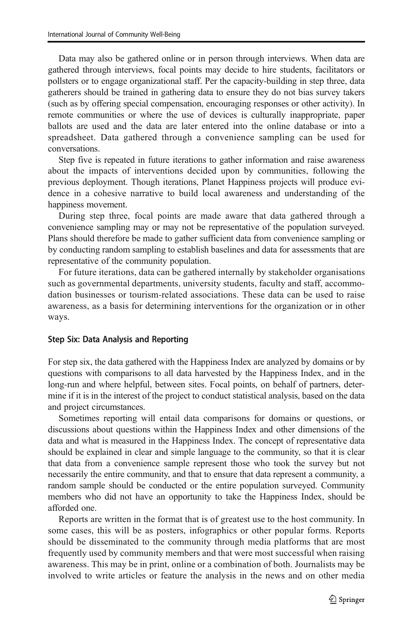Data may also be gathered online or in person through interviews. When data are gathered through interviews, focal points may decide to hire students, facilitators or pollsters or to engage organizational staff. Per the capacity-building in step three, data gatherers should be trained in gathering data to ensure they do not bias survey takers (such as by offering special compensation, encouraging responses or other activity). In remote communities or where the use of devices is culturally inappropriate, paper ballots are used and the data are later entered into the online database or into a spreadsheet. Data gathered through a convenience sampling can be used for conversations.

Step five is repeated in future iterations to gather information and raise awareness about the impacts of interventions decided upon by communities, following the previous deployment. Though iterations, Planet Happiness projects will produce evidence in a cohesive narrative to build local awareness and understanding of the happiness movement.

During step three, focal points are made aware that data gathered through a convenience sampling may or may not be representative of the population surveyed. Plans should therefore be made to gather sufficient data from convenience sampling or by conducting random sampling to establish baselines and data for assessments that are representative of the community population.

For future iterations, data can be gathered internally by stakeholder organisations such as governmental departments, university students, faculty and staff, accommodation businesses or tourism-related associations. These data can be used to raise awareness, as a basis for determining interventions for the organization or in other ways.

## Step Six: Data Analysis and Reporting

For step six, the data gathered with the Happiness Index are analyzed by domains or by questions with comparisons to all data harvested by the Happiness Index, and in the long-run and where helpful, between sites. Focal points, on behalf of partners, determine if it is in the interest of the project to conduct statistical analysis, based on the data and project circumstances.

Sometimes reporting will entail data comparisons for domains or questions, or discussions about questions within the Happiness Index and other dimensions of the data and what is measured in the Happiness Index. The concept of representative data should be explained in clear and simple language to the community, so that it is clear that data from a convenience sample represent those who took the survey but not necessarily the entire community, and that to ensure that data represent a community, a random sample should be conducted or the entire population surveyed. Community members who did not have an opportunity to take the Happiness Index, should be afforded one.

Reports are written in the format that is of greatest use to the host community. In some cases, this will be as posters, infographics or other popular forms. Reports should be disseminated to the community through media platforms that are most frequently used by community members and that were most successful when raising awareness. This may be in print, online or a combination of both. Journalists may be involved to write articles or feature the analysis in the news and on other media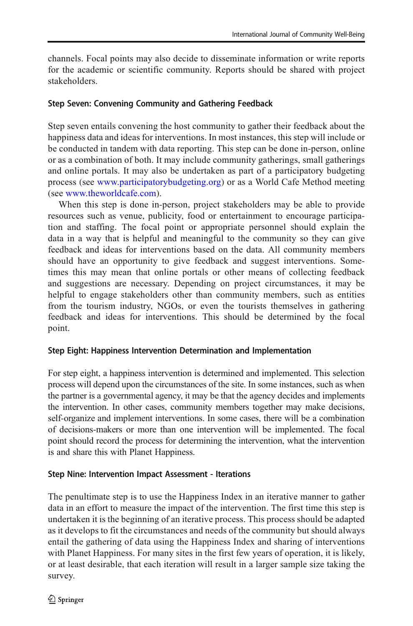channels. Focal points may also decide to disseminate information or write reports for the academic or scientific community. Reports should be shared with project stakeholders.

## Step Seven: Convening Community and Gathering Feedback

Step seven entails convening the host community to gather their feedback about the happiness data and ideas for interventions. In most instances, this step will include or be conducted in tandem with data reporting. This step can be done in-person, online or as a combination of both. It may include community gatherings, small gatherings and online portals. It may also be undertaken as part of a participatory budgeting process (see [www.participatorybudgeting.org](http://www.participatorybudgeting.org)) or as a World Cafe Method meeting (see [www.theworldcafe.com](http://www.theworldcafe.com)).

When this step is done in-person, project stakeholders may be able to provide resources such as venue, publicity, food or entertainment to encourage participation and staffing. The focal point or appropriate personnel should explain the data in a way that is helpful and meaningful to the community so they can give feedback and ideas for interventions based on the data. All community members should have an opportunity to give feedback and suggest interventions. Sometimes this may mean that online portals or other means of collecting feedback and suggestions are necessary. Depending on project circumstances, it may be helpful to engage stakeholders other than community members, such as entities from the tourism industry, NGOs, or even the tourists themselves in gathering feedback and ideas for interventions. This should be determined by the focal point.

## Step Eight: Happiness Intervention Determination and Implementation

For step eight, a happiness intervention is determined and implemented. This selection process will depend upon the circumstances of the site. In some instances, such as when the partner is a governmental agency, it may be that the agency decides and implements the intervention. In other cases, community members together may make decisions, self-organize and implement interventions. In some cases, there will be a combination of decisions-makers or more than one intervention will be implemented. The focal point should record the process for determining the intervention, what the intervention is and share this with Planet Happiness.

## Step Nine: Intervention Impact Assessment - Iterations

The penultimate step is to use the Happiness Index in an iterative manner to gather data in an effort to measure the impact of the intervention. The first time this step is undertaken it is the beginning of an iterative process. This process should be adapted as it develops to fit the circumstances and needs of the community but should always entail the gathering of data using the Happiness Index and sharing of interventions with Planet Happiness. For many sites in the first few years of operation, it is likely, or at least desirable, that each iteration will result in a larger sample size taking the survey.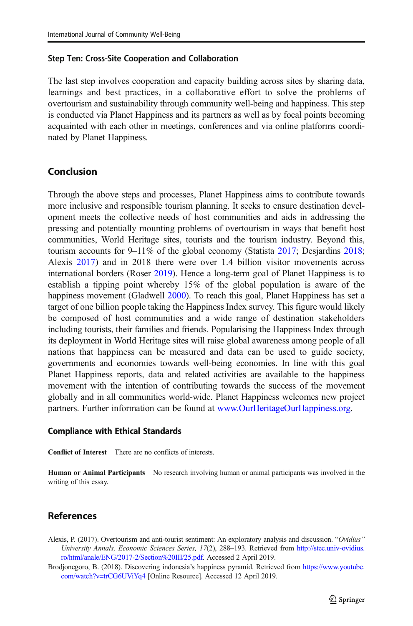#### <span id="page-10-0"></span>Step Ten: Cross-Site Cooperation and Collaboration

The last step involves cooperation and capacity building across sites by sharing data, learnings and best practices, in a collaborative effort to solve the problems of overtourism and sustainability through community well-being and happiness. This step is conducted via Planet Happiness and its partners as well as by focal points becoming acquainted with each other in meetings, conferences and via online platforms coordinated by Planet Happiness.

## Conclusion

Through the above steps and processes, Planet Happiness aims to contribute towards more inclusive and responsible tourism planning. It seeks to ensure destination development meets the collective needs of host communities and aids in addressing the pressing and potentially mounting problems of overtourism in ways that benefit host communities, World Heritage sites, tourists and the tourism industry. Beyond this, tourism accounts for  $9-11\%$  of the global economy (Statista [2017](#page-11-0); Desjardins [2018;](#page-11-0) Alexis 2017) and in 2018 there were over 1.4 billion visitor movements across international borders (Roser [2019\)](#page-11-0). Hence a long-term goal of Planet Happiness is to establish a tipping point whereby 15% of the global population is aware of the happiness movement (Gladwell [2000\)](#page-11-0). To reach this goal, Planet Happiness has set a target of one billion people taking the Happiness Index survey. This figure would likely be composed of host communities and a wide range of destination stakeholders including tourists, their families and friends. Popularising the Happiness Index through its deployment in World Heritage sites will raise global awareness among people of all nations that happiness can be measured and data can be used to guide society, governments and economies towards well-being economies. In line with this goal Planet Happiness reports, data and related activities are available to the happiness movement with the intention of contributing towards the success of the movement globally and in all communities world-wide. Planet Happiness welcomes new project partners. Further information can be found at [www.OurHeritageOurHappiness.org](http://www.ourheritageourhappiness.org).

#### Compliance with Ethical Standards

Conflict of Interest There are no conflicts of interests.

Human or Animal Participants No research involving human or animal participants was involved in the writing of this essay.

## References

- Alexis, P. (2017). Overtourism and anti-tourist sentiment: An exploratory analysis and discussion. "Ovidius" University Annals, Economic Sciences Series, 17(2), 288–193. Retrieved from [http://stec.univ-ovidius.](http://stec.univ-ovidius.ro/html/anale/ENG/2017-2/Section%20III/25.pdf) [ro/html/anale/ENG/2017-2/Section%20III/25.pdf.](http://stec.univ-ovidius.ro/html/anale/ENG/2017-2/Section%20III/25.pdf) Accessed 2 April 2019.
- Brodjonegoro, B. (2018). Discovering indonesia's happiness pyramid. Retrieved from [https://www.youtube.](https://www.youtube.com/watch?v=trCG6UViYq4) [com/watch?v=trCG6UViYq4](https://www.youtube.com/watch?v=trCG6UViYq4) [Online Resource]. Accessed 12 April 2019.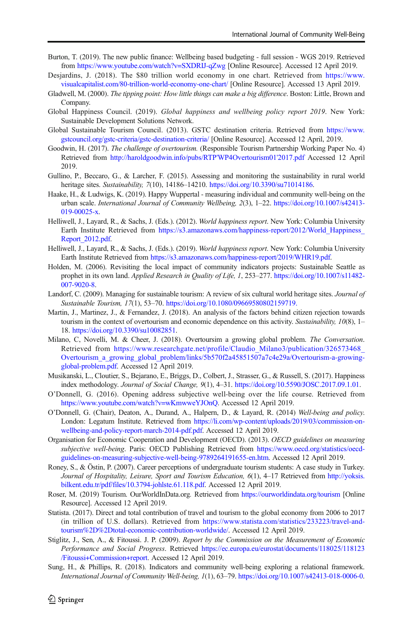- <span id="page-11-0"></span>Burton, T. (2019). The new public finance: Wellbeing based budgeting - full session - WGS 2019. Retrieved from <https://www.youtube.com/watch?v=SXDRIJ-qZwg> [Online Resource]. Accessed 12 April 2019.
- Desjardins, J. (2018). The \$80 trillion world economy in one chart. Retrieved from [https://www.](https://www.visualcapitalist.com/80-trillion-world-economy-one-chart/) [visualcapitalist.com/80-trillion-world-economy-one-chart/](https://www.visualcapitalist.com/80-trillion-world-economy-one-chart/) [Online Resource]. Accessed 13 April 2019.
- Gladwell, M. (2000). The tipping point: How little things can make a big difference. Boston: Little, Brown and Company.
- Global Happiness Council. (2019). Global happiness and wellbeing policy report 2019. New York: Sustainable Development Solutions Network.
- Global Sustainable Tourism Council. (2013). GSTC destination criteria. Retrieved from [https://www.](https://www.gstcouncil.org/gstc-criteria/gstc-destination-criteria/) [gstcouncil.org/gstc-criteria/gstc-destination-criteria/](https://www.gstcouncil.org/gstc-criteria/gstc-destination-criteria/) [Online Resource]. Accessed 12 April, 2019.
- Goodwin, H. (2017). The challenge of overtourism. (Responsible Tourism Partnership Working Paper No. 4) Retrieved from [http://haroldgoodwin.info/pubs/RTP'WP4Overtourism01'2017.pdf](http://haroldgoodwin.info/pubs/RTP) Accessed 12 April 2019.
- Gullino, P., Beccaro, G., & Larcher, F. (2015). Assessing and monitoring the sustainability in rural world heritage sites. Sustainability, 7(10), 14186–14210. [https://doi.org/10.3390/su71014186.](https://doi.org/10.3390/su71014186)
- Haake, H., & Ludwigs, K. (2019). Happy Wuppertal measuring individual and community well-being on the urban scale. International Journal of Community Wellbeing, 2(3), 1–22. [https://doi.org/10.1007/s42413-](https://doi.org/10.1007/s42413-019-00025-x) [019-00025-x.](https://doi.org/10.1007/s42413-019-00025-x)
- Helliwell, J., Layard, R., & Sachs, J. (Eds.). (2012). World happiness report. New York: Columbia University Earth Institute Retrieved from https://s3.amazonaws.com/happiness-report/2012/World Happiness [Report\\_2012.pdf](https://s3.amazonaws.com/happiness-report/2012/World_Happiness_Report_2012.pdf).
- Helliwell, J., Layard, R., & Sachs, J. (Eds.). (2019). World happiness report. New York: Columbia University Earth Institute Retrieved from <https://s3.amazonaws.com/happiness-report/2019/WHR19.pdf>.
- Holden, M. (2006). Revisiting the local impact of community indicators projects: Sustainable Seattle as prophet in its own land. Applied Research in Quality of Life, 1, 253–277. [https://doi.org/10.1007/s11482-](https://doi.org/10.1007/s11482-007-9020-8) [007-9020-8.](https://doi.org/10.1007/s11482-007-9020-8)
- Landorf, C. (2009). Managing for sustainable tourism: A review of six cultural world heritage sites. *Journal of* Sustainable Tourism, 17(1), 53–70. <https://doi.org/10.1080/09669580802159719.>
- Martin, J., Martinez, J., & Fernandez, J. (2018). An analysis of the factors behind citizen rejection towards tourism in the context of overtourism and economic dependence on this activity. Sustainability, 10(8), 1– 18. [https://doi.org/10.3390/su10082851.](https://doi.org/10.3390/su10082851)
- Milano, C, Novelli, M. & Cheer, J. (2018). Overtoursim a growing global problem. The Conversation. Retrieved from https://www.researchgate.net/profile/Claudio\_Milano3/publication/326573468 [Overtourism\\_a\\_growing\\_global\\_problem/links/5b570f2a45851507a7c4e29a/Overtourism-a-growing](https://www.researchgate.net/profile/Claudio_Milano3/publication/326573468_Overtourism_a_growing_global_problem/links/5b570f2a45851507a7c4e29a/Overtourism-a-growing-global-problem.pdf)[global-problem.pdf](https://www.researchgate.net/profile/Claudio_Milano3/publication/326573468_Overtourism_a_growing_global_problem/links/5b570f2a45851507a7c4e29a/Overtourism-a-growing-global-problem.pdf). Accessed 12 April 2019.
- Musikanski, L., Cloutier, S., Bejarano, E., Briggs, D., Colbert, J., Strasser, G., & Russell, S. (2017). Happiness index methodology. Journal of Social Change, 9(1), 4–31. [https://doi.org/10.5590/JOSC.2017.09.1.01.](https://doi.org/10.5590/JOSC.2017.09.1.01)
- O'Donnell, G. (2016). Opening address subjective well-being over the life course. Retrieved from [https://www.youtube.com/watch?v=wKmwweYJOnQ.](https://www.youtube.com/watch?v=wKmwweYJOnQ) Accessed 12 April 2019.
- O'Donnell, G. (Chair), Deaton, A., Durand, A., Halpern, D., & Layard, R. (2014) Well-being and policy. London: Legatum Institute. Retrieved from [https://li.com/wp-content/uploads/2019/03/commission-on](https://li.com/wp-content/uploads/2019/03/commission-on-wellbeing-and-policy-report-march-2014-pdf.pdf)[wellbeing-and-policy-report-march-2014-pdf.pdf](https://li.com/wp-content/uploads/2019/03/commission-on-wellbeing-and-policy-report-march-2014-pdf.pdf). Accessed 12 April 2019.
- Organisation for Economic Cooperation and Development (OECD). (2013). OECD guidelines on measuring subjective well-being. Paris: OECD Publishing Retrieved from [https://www.oecd.org/statistics/oecd](https://www.oecd.org/statistics/oecd-guidelines-on-measuring-subjective-well-being-9789264191655-en.htm)[guidelines-on-measuring-subjective-well-being-9789264191655-en.htm.](https://www.oecd.org/statistics/oecd-guidelines-on-measuring-subjective-well-being-9789264191655-en.htm) Accessed 12 April 2019.
- Roney, S., & Östin, P. (2007). Career perceptions of undergraduate tourism students: A case study in Turkey. Journal of Hospitality, Leisure, Sport and Tourism Education, 6(1), 4–17 Retrieved from [http://yoksis.](http://yoksis.bilkent.edu.tr/pdf/files/10.3794-johlste.61.118.pdf) [bilkent.edu.tr/pdf/files/10.3794-johlste.61.118.pdf.](http://yoksis.bilkent.edu.tr/pdf/files/10.3794-johlste.61.118.pdf) Accessed 12 April 2019.
- Roser, M. (2019) Tourism. OurWorldInData.org. Retrieved from <https://ourworldindata.org/tourism> [Online Resource]. Accessed 12 April 2019.
- Statista. (2017). Direct and total contribution of travel and tourism to the global economy from 2006 to 2017 (in trillion of U.S. dollars). Retrieved from [https://www.statista.com/statistics/233223/travel-and](https://www.statista.com/statistics/233223/travel-and-tourism%2D%2Dtotal-economic-contribution-worldwide/)[tourism%2D%2Dtotal-economic-contribution-worldwide/.](https://www.statista.com/statistics/233223/travel-and-tourism%2D%2Dtotal-economic-contribution-worldwide/) Accessed 12 April 2019.
- Stiglitz, J., Sen, A., & Fitoussi. J. P. (2009). Report by the Commission on the Measurement of Economic Performance and Social Progress. Retrieved [https://ec.europa.eu/eurostat/documents/118025/118123](https://ec.europa.eu/eurostat/documents/118025/118123/Fitoussi+Commission+report) [/Fitoussi+Commission+report.](https://ec.europa.eu/eurostat/documents/118025/118123/Fitoussi+Commission+report) Accessed 12 April 2019.
- Sung, H., & Phillips, R. (2018). Indicators and community well-being exploring a relational framework. International Journal of Community Well-being, 1(1), 63–79. <https://doi.org/10.1007/s42413-018-0006-0>.